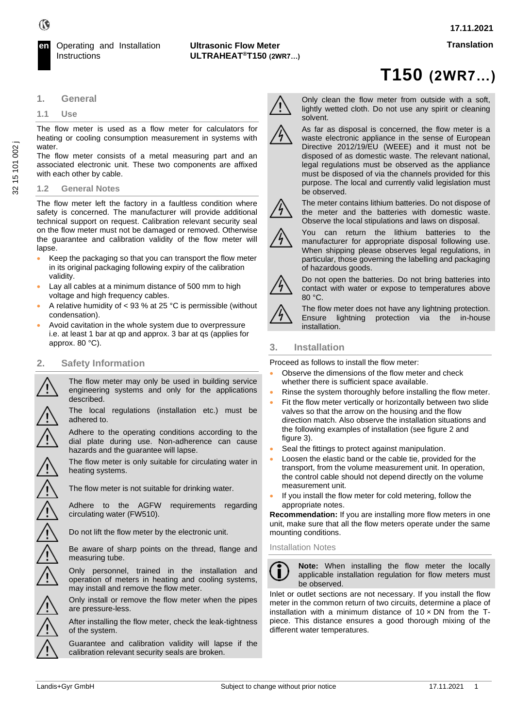**T150 (2WR7…)**



# **1. General**

#### **1.1 Use**

The flow meter is used as a flow meter for calculators for heating or cooling consumption measurement in systems with water.

The flow meter consists of a metal measuring part and an associated electronic unit. These two components are affixed with each other by cable.

### **1.2 General Notes**

The flow meter left the factory in a faultless condition where safety is concerned. The manufacturer will provide additional technical support on request. Calibration relevant security seal on the flow meter must not be damaged or removed. Otherwise the guarantee and calibration validity of the flow meter will lapse.

- Keep the packaging so that you can transport the flow meter in its original packaging following expiry of the calibration validity.
- Lay all cables at a minimum distance of 500 mm to high voltage and high frequency cables.
- A relative humidity of < 93 % at 25 °C is permissible (without condensation).
- Avoid cavitation in the whole system due to overpressure i.e. at least 1 bar at qp and approx. 3 bar at qs (applies for approx. 80 °C).

# **2. Safety Information**

The flow meter may only be used in building service engineering systems and only for the applications described.

The local regulations (installation etc.) must be adhered to.

Adhere to the operating conditions according to the dial plate during use. Non-adherence can cause hazards and the guarantee will lapse.

The flow meter is only suitable for circulating water in heating systems.

The flow meter is not suitable for drinking water.

Adhere to the AGFW requirements regarding circulating water (FW510).

Do not lift the flow meter by the electronic unit.

Be aware of sharp points on the thread, flange and measuring tube.

Only personnel, trained in the installation and operation of meters in heating and cooling systems, may install and remove the flow meter.

Only install or remove the flow meter when the pipes are pressure-less.

After installing the flow meter, check the leak-tightness of the system.

Guarantee and calibration validity will lapse if the calibration relevant security seals are broken.



Only clean the flow meter from outside with a soft, lightly wetted cloth. Do not use any spirit or cleaning solvent.



As far as disposal is concerned, the flow meter is a waste electronic appliance in the sense of European Directive 2012/19/EU (WEEE) and it must not be disposed of as domestic waste. The relevant national, legal regulations must be observed as the appliance must be disposed of via the channels provided for this purpose. The local and currently valid legislation must be observed.



The meter contains lithium batteries. Do not dispose of the meter and the batteries with domestic waste. Observe the local stipulations and laws on disposal.



You can return the lithium batteries to the manufacturer for appropriate disposal following use. When shipping please observes legal regulations, in particular, those governing the labelling and packaging of hazardous goods.



Do not open the batteries. Do not bring batteries into contact with water or expose to temperatures above 80 °C.

The flow meter does not have any lightning protection. Ensure lightning protection via the in-house installation.

# **3. Installation**

Proceed as follows to install the flow meter:

- Observe the dimensions of the flow meter and check whether there is sufficient space available.
- Rinse the system thoroughly before installing the flow meter.
- Fit the flow meter vertically or horizontally between two slide valves so that the arrow on the housing and the flow direction match. Also observe the installation situations and the following examples of installation (see figure 2 and figure 3).
- Seal the fittings to protect against manipulation.
- Loosen the elastic band or the cable tie, provided for the transport, from the volume measurement unit. In operation, the control cable should not depend directly on the volume measurement unit.
- If you install the flow meter for cold metering, follow the appropriate notes.

**Recommendation:** If you are installing more flow meters in one unit, make sure that all the flow meters operate under the same mounting conditions.

# Installation Notes



**Note:** When installing the flow meter the locally applicable installation regulation for flow meters must be observed.

Inlet or outlet sections are not necessary. If you install the flow meter in the common return of two circuits, determine a place of installation with a minimum distance of  $10 \times DN$  from the Tpiece. This distance ensures a good thorough mixing of the different water temperatures.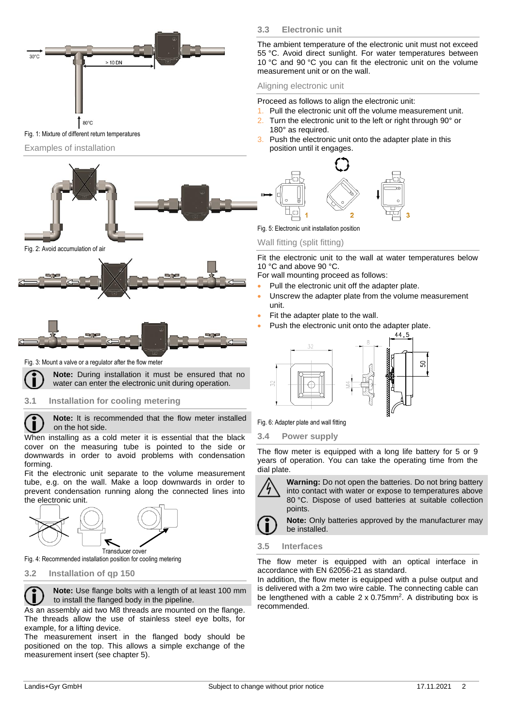

#### Fig. 1: Mixture of different return temperatures

#### Examples of installation



#### Fig. 2: Avoid accumulation of air





Fig. 3: Mount a valve or a regulator after the flow meter



П

# water can enter the electronic unit during operation.

## **3.1 Installation for cooling metering**

**Note:** It is recommended that the flow meter installed on the hot side.

When installing as a cold meter it is essential that the black cover on the measuring tube is pointed to the side or downwards in order to avoid problems with condensation forming.

Fit the electronic unit separate to the volume measurement tube, e.g. on the wall. Make a loop downwards in order to prevent condensation running along the connected lines into the electronic unit.



Fig. 4: Recommended installation position for cooling metering

**3.2 Installation of qp 150**



As an assembly aid two M8 threads are mounted on the flange. The threads allow the use of stainless steel eye bolts, for example, for a lifting device.

The measurement insert in the flanged body should be positioned on the top. This allows a simple exchange of the measurement insert (see chapter 5).

# **3.3 Electronic unit**

The ambient temperature of the electronic unit must not exceed 55 °C. Avoid direct sunlight. For water temperatures between 10 °C and 90 °C you can fit the electronic unit on the volume measurement unit or on the wall.

### Aligning electronic unit

Proceed as follows to align the electronic unit:

- 1. Pull the electronic unit off the volume measurement unit.
- 2. Turn the electronic unit to the left or right through 90° or 180° as required.
- 3. Push the electronic unit onto the adapter plate in this position until it engages.



Fig. 5: Electronic unit installation position

#### Wall fitting (split fitting)

Fit the electronic unit to the wall at water temperatures below 10 °C and above 90 °C.

For wall mounting proceed as follows:

- Pull the electronic unit off the adapter plate.
- Unscrew the adapter plate from the volume measurement unit.
- Fit the adapter plate to the wall.
- Push the electronic unit onto the adapter plate.



Fig. 6: Adapter plate and wall fitting

**3.4 Power supply**

The flow meter is equipped with a long life battery for 5 or 9 years of operation. You can take the operating time from the dial plate.



**Warning:** Do not open the batteries. Do not bring battery into contact with water or expose to temperatures above 80 °C. Dispose of used batteries at suitable collection points.

**Note:** Only batteries approved by the manufacturer may be installed.

### **3.5 Interfaces**

The flow meter is equipped with an optical interface in accordance with EN 62056-21 as standard.

In addition, the flow meter is equipped with a pulse output and is delivered with a 2m two wire cable. The connecting cable can be lengthened with a cable  $2 \times 0.75$ mm<sup>2</sup>. A distributing box is recommended.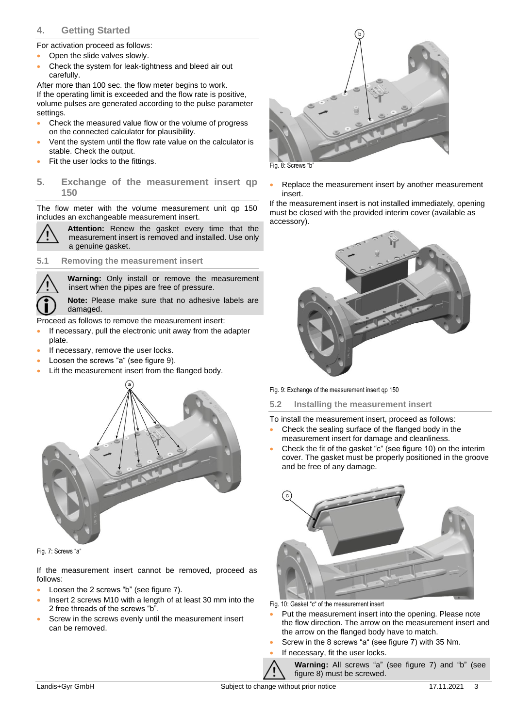# **4. Getting Started**

For activation proceed as follows:

- Open the slide valves slowly.
- Check the system for leak-tightness and bleed air out carefully.

After more than 100 sec. the flow meter begins to work. If the operating limit is exceeded and the flow rate is positive, volume pulses are generated according to the pulse parameter settings.

- Check the measured value flow or the volume of progress on the connected calculator for plausibility.
- Vent the system until the flow rate value on the calculator is stable. Check the output.
- Fit the user locks to the fittings.
- **5. Exchange of the measurement insert qp 150**

The flow meter with the volume measurement unit qp 150 includes an exchangeable measurement insert.



**Attention:** Renew the gasket every time that the measurement insert is removed and installed. Use only a genuine gasket.

# **5.1 Removing the measurement insert**

**Warning:** Only install or remove the measurement insert when the pipes are free of pressure.

**Note:** Please make sure that no adhesive labels are damaged.

Proceed as follows to remove the measurement insert:

- If necessary, pull the electronic unit away from the adapter plate.
- If necessary, remove the user locks.
- Loosen the screws "a" (see figure 9).
- Lift the measurement insert from the flanged body.



Fig. 7: Screws "a"

If the measurement insert cannot be removed, proceed as follows:

- Loosen the 2 screws "b" (see figure 7).
- Insert 2 screws M10 with a length of at least 30 mm into the 2 free threads of the screws "b".
- Screw in the screws evenly until the measurement insert can be removed.



Replace the measurement insert by another measurement insert.

If the measurement insert is not installed immediately, opening must be closed with the provided interim cover (available as accessory).



Fig. 9: Exchange of the measurement insert qp 150

# **5.2 Installing the measurement insert**

To install the measurement insert, proceed as follows:

- Check the sealing surface of the flanged body in the measurement insert for damage and cleanliness.
- Check the fit of the gasket "c" (see figure 10) on the interim cover. The gasket must be properly positioned in the groove and be free of any damage.



Fig. 10: Gasket "c" of the measurement insert

- Put the measurement insert into the opening. Please note the flow direction. The arrow on the measurement insert and the arrow on the flanged body have to match.
- Screw in the 8 screws "a" (see figure 7) with 35 Nm.
- If necessary, fit the user locks.

**Warning:** All screws "a" (see figure 7) and "b" (see figure 8) must be screwed.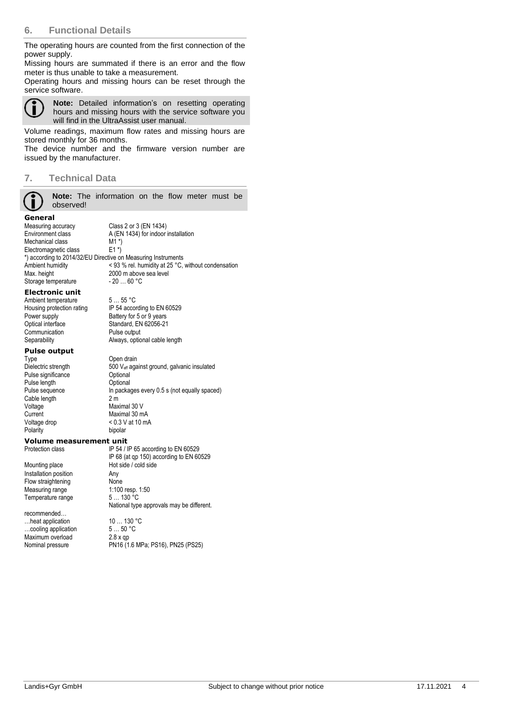# **6. Functional Details**

The operating hours are counted from the first connection of the power supply.

Missing hours are summated if there is an error and the flow meter is thus unable to take a measurement.

Operating hours and missing hours can be reset through the service software.



**Note:** Detailed information's on resetting operating hours and missing hours with the service software you will find in the UltraAssist user manual.

Volume readings, maximum flow rates and missing hours are stored monthly for 36 months.

The device number and the firmware version number are issued by the manufacturer.

# **7. Technical Data**

**Note:** The information on the flow meter must be observed!

Standard, EN 62056-21<br>Pulse output

**General**<br>Measuring accuracy Measuring accuracy Class 2 or 3 (EN 1434)<br>
Fnyironment class A (FN 1434) for indoor A (EN 1434) for indoor installation<br>M1 \*) Mechanical class M1 \*)<br>Electromagnetic class E1 \*) Electromagnetic class \*) according to 2014/32/EU Directive on Measuring Instruments Ambient humidity <br>  $\begin{array}{r} \text{Ambient} \\ \text{Ambient} \end{array}$   $\begin{array}{r} \text{Ambient} \\ \text{Bmbient} \end{array}$   $\begin{array}{r} \text{Ambient} \\ \text{Bmbient} \end{array}$   $\begin{array}{r} \text{Ambient} \\ \text{Bmbient} \end{array}$ 2000 m above sea level<br>- 20 ... 60 °C Storage temperature

# **Electronic unit**

Ambient temperature 5 ... 55 °C<br>Housing protection rating IP 54 accor Housing protection rating IP 54 according to EN 60529<br>Power supply Battery for 5 or 9 years Power supply<br>
Detical interface<br>
Optical interface<br>
Change Standard, EN 62056-21 Communication<br>Separability

# **Pulse output**

Type Open drain<br>Dielectric strength 600 V<sub>eff</sub> aga Pulse significance **Optional**<br>
Pulse length **Optional** Pulse length<br>Pulse sequence Cable length Voltage Maximal 30 V<br>Current Maximal 30 m Current Maximal 30 mA<br>Voltage drop < 0.3 V at 10 m/ Polarity

Always, optional cable length  $500$  V<sub>eff</sub> against ground, galvanic insulated<br>Optional In packages every  $0.5$  s (not equally spaced)<br>2 m

 $< 0.3$  V at 10 mA<br>hinolar

# **Volume measurement unit**<br>**Protection class IP 54/1**

Mounting place Hot side / cold side<br>
Installation position<br>
Any Installation position Flow straightening<br>
Measuring range<br>
1:100 resp. 1:50 Measuring range 1:100 resp.<br>Temperature range 5... 130 °C Temperature range

recommended… …heat application 10 … 130 °C<br>
…cooling application 5 … 50 °C  $\frac{1}{2}$  ...cooling application  $\frac{5}{2}$  ...50 °C.<br>Maximum overload  $\frac{2}{3}$  x op Maximum overload<br>Nominal pressure

IP 54 / IP 65 according to EN 60529 IP 68 (at qp 150) according to EN 60529 National type approvals may be different.

PN16 (1.6 MPa; PS16), PN25 (PS25)